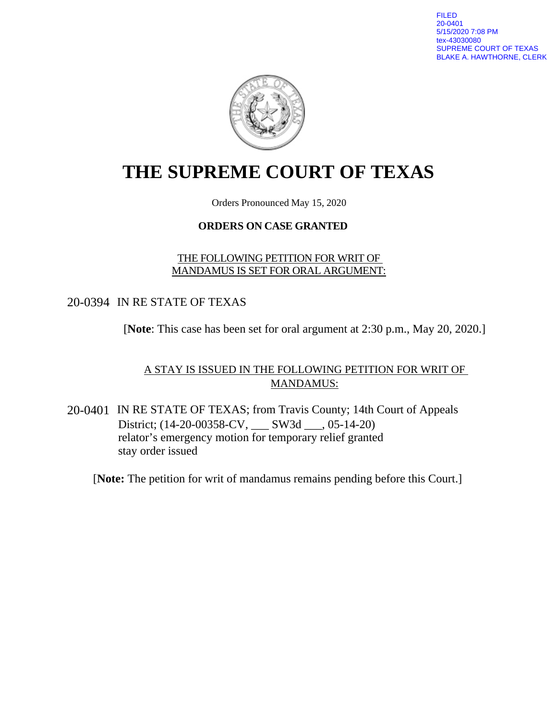FILED 20-0401 5/15/2020 7:08 PM tex-43030080 SUPREME COURT OF TEXAS BLAKE A. HAWTHORNE, CLERK



# **THE SUPREME COURT OF TEXAS**

Orders Pronounced May 15, 2020

#### **ORDERS ON CASE GRANTED**

THE FOLLOWING PETITION FOR WRIT OF MANDAMUS IS SET FOR ORAL ARGUMENT:

20-0394 IN RE STATE OF TEXAS

[**Note**: This case has been set for oral argument at 2:30 p.m., May 20, 2020.]

A STAY IS ISSUED IN THE FOLLOWING PETITION FOR WRIT OF MANDAMUS:

20-0401 IN RE STATE OF TEXAS; from Travis County; 14th Court of Appeals District; (14-20-00358-CV, \_\_\_ SW3d \_\_\_, 05-14-20) relator's emergency motion for temporary relief granted stay order issued

[**Note:** The petition for writ of mandamus remains pending before this Court.]